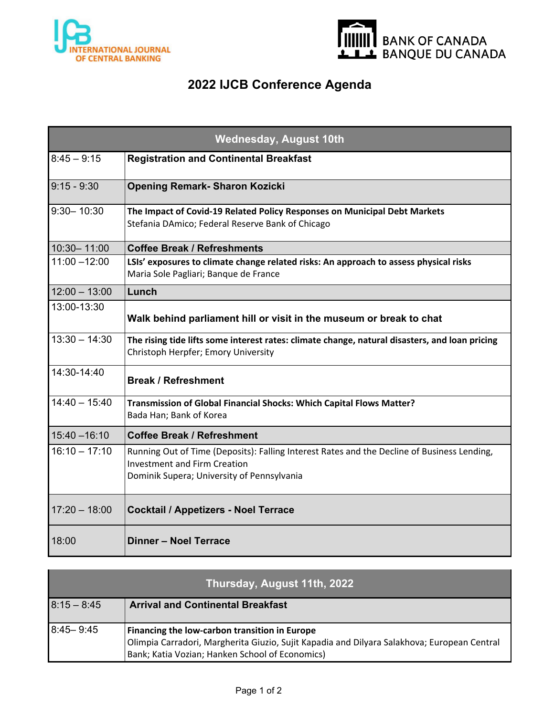



## **2022 IJCB Conference Agenda**

| <b>Wednesday, August 10th</b> |                                                                                                                                                                                  |  |
|-------------------------------|----------------------------------------------------------------------------------------------------------------------------------------------------------------------------------|--|
| $8:45 - 9:15$                 | <b>Registration and Continental Breakfast</b>                                                                                                                                    |  |
| $9:15 - 9:30$                 | <b>Opening Remark- Sharon Kozicki</b>                                                                                                                                            |  |
| $9:30 - 10:30$                | The Impact of Covid-19 Related Policy Responses on Municipal Debt Markets<br>Stefania DAmico; Federal Reserve Bank of Chicago                                                    |  |
| 10:30-11:00                   | <b>Coffee Break / Refreshments</b>                                                                                                                                               |  |
| $11:00 - 12:00$               | LSIs' exposures to climate change related risks: An approach to assess physical risks<br>Maria Sole Pagliari; Banque de France                                                   |  |
| $12:00 - 13:00$               | Lunch                                                                                                                                                                            |  |
| 13:00-13:30                   | Walk behind parliament hill or visit in the museum or break to chat                                                                                                              |  |
| $13:30 - 14:30$               | The rising tide lifts some interest rates: climate change, natural disasters, and loan pricing<br>Christoph Herpfer; Emory University                                            |  |
| 14:30-14:40                   | <b>Break / Refreshment</b>                                                                                                                                                       |  |
| $14:40 - 15:40$               | Transmission of Global Financial Shocks: Which Capital Flows Matter?<br>Bada Han; Bank of Korea                                                                                  |  |
| $15:40 - 16:10$               | <b>Coffee Break / Refreshment</b>                                                                                                                                                |  |
| $16:10 - 17:10$               | Running Out of Time (Deposits): Falling Interest Rates and the Decline of Business Lending,<br><b>Investment and Firm Creation</b><br>Dominik Supera; University of Pennsylvania |  |
| $17:20 - 18:00$               | <b>Cocktail / Appetizers - Noel Terrace</b>                                                                                                                                      |  |
| 18:00                         | Dinner - Noel Terrace                                                                                                                                                            |  |

| Thursday, August 11th, 2022 |                                                                                                                                                                                                 |  |
|-----------------------------|-------------------------------------------------------------------------------------------------------------------------------------------------------------------------------------------------|--|
| $8:15 - 8:45$               | <b>Arrival and Continental Breakfast</b>                                                                                                                                                        |  |
| $8:45 - 9:45$               | Financing the low-carbon transition in Europe<br>Olimpia Carradori, Margherita Giuzio, Sujit Kapadia and Dilyara Salakhova; European Central<br>Bank; Katia Vozian; Hanken School of Economics) |  |